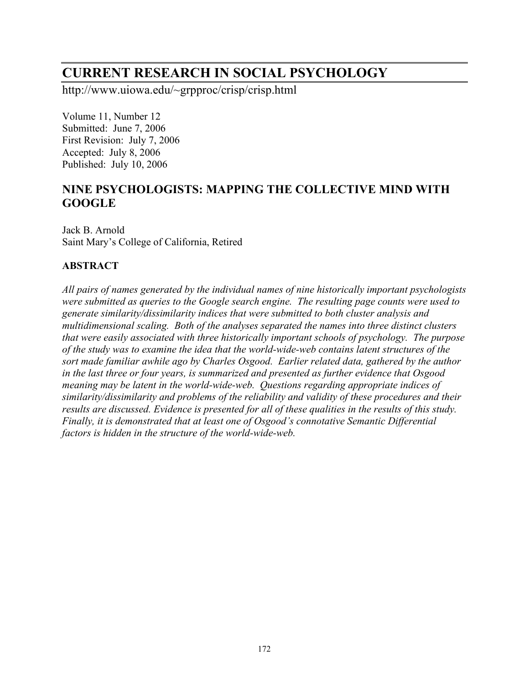# **CURRENT RESEARCH IN SOCIAL PSYCHOLOGY**

http://www.uiowa.edu/~grpproc/crisp/crisp.html

Volume 11, Number 12 Submitted: June 7, 2006 First Revision: July 7, 2006 Accepted: July 8, 2006 Published: July 10, 2006

## **NINE PSYCHOLOGISTS: MAPPING THE COLLECTIVE MIND WITH GOOGLE**

Jack B. Arnold Saint Mary's College of California, Retired

## **ABSTRACT**

*All pairs of names generated by the individual names of nine historically important psychologists were submitted as queries to the Google search engine. The resulting page counts were used to generate similarity/dissimilarity indices that were submitted to both cluster analysis and multidimensional scaling. Both of the analyses separated the names into three distinct clusters that were easily associated with three historically important schools of psychology. The purpose of the study was to examine the idea that the world-wide-web contains latent structures of the sort made familiar awhile ago by Charles Osgood. Earlier related data, gathered by the author in the last three or four years, is summarized and presented as further evidence that Osgood meaning may be latent in the world-wide-web. Questions regarding appropriate indices of similarity/dissimilarity and problems of the reliability and validity of these procedures and their results are discussed. Evidence is presented for all of these qualities in the results of this study. Finally, it is demonstrated that at least one of Osgood's connotative Semantic Differential factors is hidden in the structure of the world-wide-web.*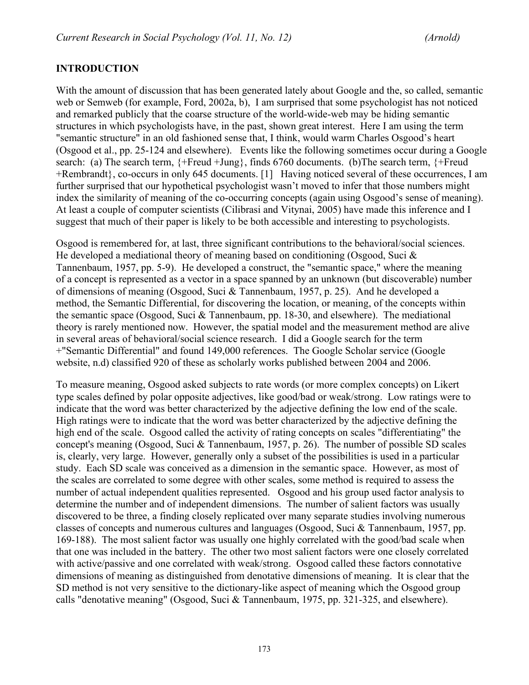## **INTRODUCTION**

With the amount of discussion that has been generated lately about Google and the, so called, semantic web or Semweb (for example, Ford, 2002a, b), I am surprised that some psychologist has not noticed and remarked publicly that the coarse structure of the world-wide-web may be hiding semantic structures in which psychologists have, in the past, shown great interest. Here I am using the term "semantic structure" in an old fashioned sense that, I think, would warm Charles Osgood's heart (Osgood et al., pp. 25-124 and elsewhere). Events like the following sometimes occur during a Google search: (a) The search term, {+Freud +Jung}, finds 6760 documents. (b)The search term, {+Freud +Rembrandt}, co-occurs in only 645 documents. [1] Having noticed several of these occurrences, I am further surprised that our hypothetical psychologist wasn't moved to infer that those numbers might index the similarity of meaning of the co-occurring concepts (again using Osgood's sense of meaning). At least a couple of computer scientists (Cilibrasi and Vitynai, 2005) have made this inference and I suggest that much of their paper is likely to be both accessible and interesting to psychologists.

Osgood is remembered for, at last, three significant contributions to the behavioral/social sciences. He developed a mediational theory of meaning based on conditioning (Osgood, Suci  $\&$ Tannenbaum, 1957, pp. 5-9). He developed a construct, the "semantic space," where the meaning of a concept is represented as a vector in a space spanned by an unknown (but discoverable) number of dimensions of meaning (Osgood, Suci & Tannenbaum, 1957, p. 25). And he developed a method, the Semantic Differential, for discovering the location, or meaning, of the concepts within the semantic space (Osgood, Suci & Tannenbaum, pp. 18-30, and elsewhere). The mediational theory is rarely mentioned now. However, the spatial model and the measurement method are alive in several areas of behavioral/social science research. I did a Google search for the term +"Semantic Differential" and found 149,000 references. The Google Scholar service (Google website, n.d) classified 920 of these as scholarly works published between 2004 and 2006.

To measure meaning, Osgood asked subjects to rate words (or more complex concepts) on Likert type scales defined by polar opposite adjectives, like good/bad or weak/strong. Low ratings were to indicate that the word was better characterized by the adjective defining the low end of the scale. High ratings were to indicate that the word was better characterized by the adjective defining the high end of the scale. Osgood called the activity of rating concepts on scales "differentiating" the concept's meaning (Osgood, Suci & Tannenbaum, 1957, p. 26). The number of possible SD scales is, clearly, very large. However, generally only a subset of the possibilities is used in a particular study. Each SD scale was conceived as a dimension in the semantic space. However, as most of the scales are correlated to some degree with other scales, some method is required to assess the number of actual independent qualities represented. Osgood and his group used factor analysis to determine the number and of independent dimensions. The number of salient factors was usually discovered to be three, a finding closely replicated over many separate studies involving numerous classes of concepts and numerous cultures and languages (Osgood, Suci & Tannenbaum, 1957, pp. 169-188). The most salient factor was usually one highly correlated with the good/bad scale when that one was included in the battery. The other two most salient factors were one closely correlated with active/passive and one correlated with weak/strong. Osgood called these factors connotative dimensions of meaning as distinguished from denotative dimensions of meaning. It is clear that the SD method is not very sensitive to the dictionary-like aspect of meaning which the Osgood group calls "denotative meaning" (Osgood, Suci & Tannenbaum, 1975, pp. 321-325, and elsewhere).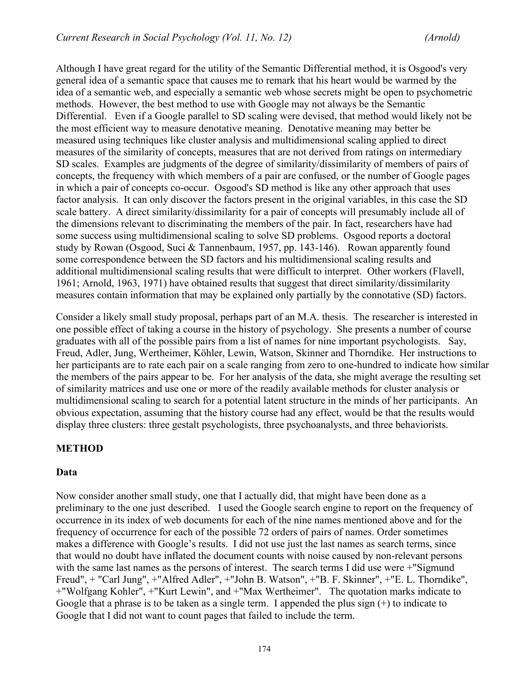Although I have great regard for the utility of the Semantic Differential method, it is Osgood's very general idea of a semantic space that causes me to remark that his heart would be warmed by the idea of a semantic web, and especially a semantic web whose secrets might be open to psychometric methods. However, the best method to use with Google may not always be the Semantic Differential. Even if a Google parallel to SD scaling were devised, that method would likely not be the most efficient way to measure denotative meaning. Denotative meaning may better be measured using techniques like cluster analysis and multidimensional scaling applied to direct measures of the similarity of concepts, measures that are not derived from ratings on intermediary SD scales. Examples are judgments of the degree of similarity/dissimilarity of members of pairs of concepts, the frequency with which members of a pair are confused, or the number of Google pages in which a pair of concepts co-occur. Osgood's SD method is like any other approach that uses factor analysis. It can only discover the factors present in the original variables, in this case the SD scale battery. A direct similarity/dissimilarity for a pair of concepts will presumably include all of the dimensions relevant to discriminating the members of the pair. In fact, researchers have had some success using multidimensional scaling to solve SD problems. Osgood reports a doctoral study by Rowan (Osgood, Suci & Tannenbaum, 1957, pp. 143-146). Rowan apparently found some correspondence between the SD factors and his multidimensional scaling results and additional multidimensional scaling results that were difficult to interpret. Other workers (Flavell, 1961; Arnold, 1963, 1971) have obtained results that suggest that direct similarity/dissimilarity measures contain information that may be explained only partially by the connotative (SD) factors.

Consider a likely small study proposal, perhaps part of an M.A. thesis. The researcher is interested in one possible effect of taking a course in the history of psychology. She presents a number of course graduates with all of the possible pairs from a list of names for nine important psychologists. Say, Freud, Adler, Jung, Wertheimer, Köhler, Lewin, Watson, Skinner and Thorndike. Her instructions to her participants are to rate each pair on a scale ranging from zero to one-hundred to indicate how similar the members of the pairs appear to be. For her analysis of the data, she might average the resulting set of similarity matrices and use one or more of the readily available methods for cluster analysis or multidimensional scaling to search for a potential latent structure in the minds of her participants. An obvious expectation, assuming that the history course had any effect, would be that the results would display three clusters: three gestalt psychologists, three psychoanalysts, and three behaviorists.

#### **METHOD**

#### **Data**

Now consider another small study, one that I actually did, that might have been done as a preliminary to the one just described. I used the Google search engine to report on the frequency of occurrence in its index of web documents for each of the nine names mentioned above and for the frequency of occurrence for each of the possible 72 orders of pairs of names. Order sometimes makes a difference with Google's results. I did not use just the last names as search terms, since that would no doubt have inflated the document counts with noise caused by non-relevant persons with the same last names as the persons of interest. The search terms I did use were +"Sigmund Freud", + "Carl Jung", +"Alfred Adler", +"John B. Watson", +"B. F. Skinner", +"E. L. Thorndike", +"Wolfgang Kohler", +"Kurt Lewin", and +"Max Wertheimer". The quotation marks indicate to Google that a phrase is to be taken as a single term. I appended the plus sign (+) to indicate to Google that I did not want to count pages that failed to include the term.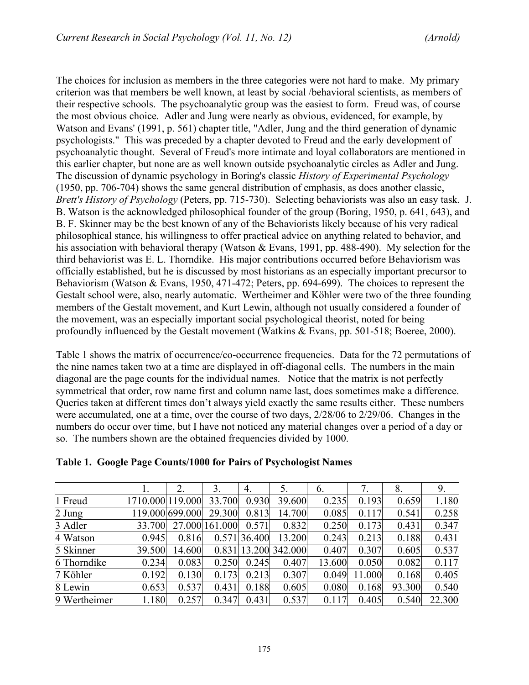The choices for inclusion as members in the three categories were not hard to make. My primary criterion was that members be well known, at least by social /behavioral scientists, as members of their respective schools. The psychoanalytic group was the easiest to form. Freud was, of course the most obvious choice. Adler and Jung were nearly as obvious, evidenced, for example, by Watson and Evans' (1991, p. 561) chapter title, "Adler, Jung and the third generation of dynamic psychologists." This was preceded by a chapter devoted to Freud and the early development of psychoanalytic thought. Several of Freud's more intimate and loyal collaborators are mentioned in this earlier chapter, but none are as well known outside psychoanalytic circles as Adler and Jung. The discussion of dynamic psychology in Boring's classic *History of Experimental Psychology* (1950, pp. 706-704) shows the same general distribution of emphasis, as does another classic, *Brett's History of Psychology* (Peters, pp. 715-730). Selecting behaviorists was also an easy task. J. B. Watson is the acknowledged philosophical founder of the group (Boring, 1950, p. 641, 643), and B. F. Skinner may be the best known of any of the Behaviorists likely because of his very radical philosophical stance, his willingness to offer practical advice on anything related to behavior, and his association with behavioral therapy (Watson & Evans, 1991, pp. 488-490). My selection for the third behaviorist was E. L. Thorndike. His major contributions occurred before Behaviorism was officially established, but he is discussed by most historians as an especially important precursor to Behaviorism (Watson & Evans, 1950, 471-472; Peters, pp. 694-699). The choices to represent the Gestalt school were, also, nearly automatic. Wertheimer and Köhler were two of the three founding members of the Gestalt movement, and Kurt Lewin, although not usually considered a founder of the movement, was an especially important social psychological theorist, noted for being profoundly influenced by the Gestalt movement (Watkins & Evans, pp. 501-518; Boeree, 2000).

Table 1 shows the matrix of occurrence/co-occurrence frequencies. Data for the 72 permutations of the nine names taken two at a time are displayed in off-diagonal cells. The numbers in the main diagonal are the page counts for the individual names. Notice that the matrix is not perfectly symmetrical that order, row name first and column name last, does sometimes make a difference. Queries taken at different times don't always yield exactly the same results either. These numbers were accumulated, one at a time, over the course of two days, 2/28/06 to 2/29/06. Changes in the numbers do occur over time, but I have not noticed any material changes over a period of a day or so. The numbers shown are the obtained frequencies divided by 1000.

|              |                  | 2.              | 3.             | 4.           | 5.                   | 6.     |        | 8.     | 9.     |
|--------------|------------------|-----------------|----------------|--------------|----------------------|--------|--------|--------|--------|
| 1 Freud      | 1710.000 119.000 |                 | 33.700         | 0.930        | 39.600               | 0.235  | 0.193  | 0.659  | 1.180  |
| 2 Jung       |                  | 119.000 699.000 | 29.300         | 0.813        | 14.700               | 0.085  | 0.117  | 0.541  | 0.258  |
| 3 Adler      | 33.700           |                 | 27.000 161.000 | 0.571        | 0.832                | 0.250  | 0.173  | 0.431  | 0.347  |
| 4 Watson     | 0.945            | 0.816           |                | 0.571 36.400 | 13.200               | 0.243  | 0.213  | 0.188  | 0.431  |
| 5 Skinner    | 39.500           | 14.600          |                |              | 0.831 13.200 342.000 | 0.407  | 0.307  | 0.605  | 0.537  |
| 6 Thorndike  | 0.234            | 0.083           | 0.250          | 0.245        | 0.407                | 13.600 | 0.050  | 0.082  | 0.117  |
| 7 Köhler     | 0.192            | 0.130           | 0.173          | 0.213        | 0.307                | 0.049  | 11.000 | 0.168  | 0.405  |
| 8 Lewin      | 0.653            | 0.537           | 0.431          | 0.188        | 0.605                | 0.080  | 0.168  | 93.300 | 0.540  |
| 9 Wertheimer | 1.180            | 0.257           | 0.347          | 0.431        | 0.537                | 0.117  | 0.405  | 0.540  | 22.300 |

#### **Table 1. Google Page Counts/1000 for Pairs of Psychologist Names**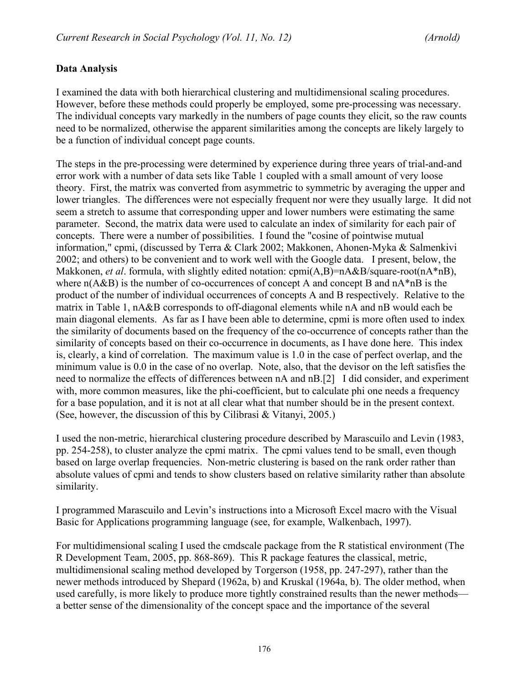## **Data Analysis**

I examined the data with both hierarchical clustering and multidimensional scaling procedures. However, before these methods could properly be employed, some pre-processing was necessary. The individual concepts vary markedly in the numbers of page counts they elicit, so the raw counts need to be normalized, otherwise the apparent similarities among the concepts are likely largely to be a function of individual concept page counts.

The steps in the pre-processing were determined by experience during three years of trial-and-and error work with a number of data sets like Table 1 coupled with a small amount of very loose theory. First, the matrix was converted from asymmetric to symmetric by averaging the upper and lower triangles. The differences were not especially frequent nor were they usually large. It did not seem a stretch to assume that corresponding upper and lower numbers were estimating the same parameter. Second, the matrix data were used to calculate an index of similarity for each pair of concepts. There were a number of possibilities. I found the "cosine of pointwise mutual information," cpmi, (discussed by Terra & Clark 2002; Makkonen, Ahonen-Myka & Salmenkivi 2002; and others) to be convenient and to work well with the Google data. I present, below, the Makkonen, *et al.* formula, with slightly edited notation: cpmi(A,B)=nA&B/square-root(nA\*nB), where  $n(A&B)$  is the number of co-occurrences of concept A and concept B and  $nA*B$  is the product of the number of individual occurrences of concepts A and B respectively. Relative to the matrix in Table 1, nA&B corresponds to off-diagonal elements while nA and nB would each be main diagonal elements. As far as I have been able to determine, cpmi is more often used to index the similarity of documents based on the frequency of the co-occurrence of concepts rather than the similarity of concepts based on their co-occurrence in documents, as I have done here. This index is, clearly, a kind of correlation. The maximum value is 1.0 in the case of perfect overlap, and the minimum value is 0.0 in the case of no overlap. Note, also, that the devisor on the left satisfies the need to normalize the effects of differences between nA and nB.[2] I did consider, and experiment with, more common measures, like the phi-coefficient, but to calculate phi one needs a frequency for a base population, and it is not at all clear what that number should be in the present context. (See, however, the discussion of this by Cilibrasi & Vitanyi, 2005.)

I used the non-metric, hierarchical clustering procedure described by Marascuilo and Levin (1983, pp. 254-258), to cluster analyze the cpmi matrix. The cpmi values tend to be small, even though based on large overlap frequencies. Non-metric clustering is based on the rank order rather than absolute values of cpmi and tends to show clusters based on relative similarity rather than absolute similarity.

I programmed Marascuilo and Levin's instructions into a Microsoft Excel macro with the Visual Basic for Applications programming language (see, for example, Walkenbach, 1997).

For multidimensional scaling I used the cmdscale package from the R statistical environment (The R Development Team, 2005, pp. 868-869). This R package features the classical, metric, multidimensional scaling method developed by Torgerson (1958, pp. 247-297), rather than the newer methods introduced by Shepard (1962a, b) and Kruskal (1964a, b). The older method, when used carefully, is more likely to produce more tightly constrained results than the newer methods a better sense of the dimensionality of the concept space and the importance of the several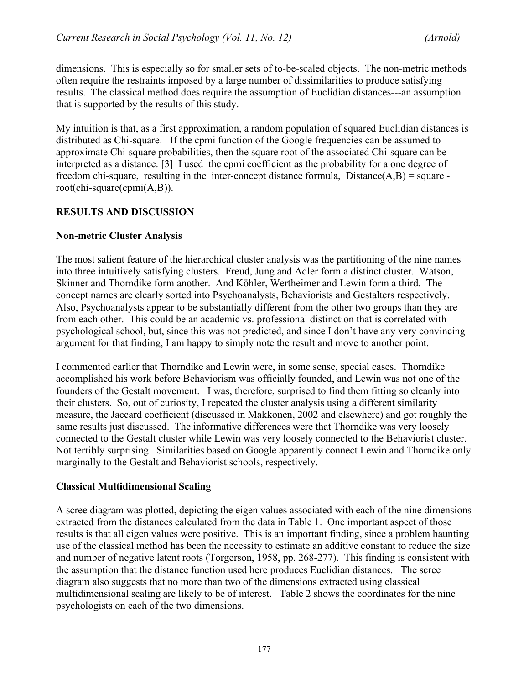dimensions. This is especially so for smaller sets of to-be-scaled objects. The non-metric methods often require the restraints imposed by a large number of dissimilarities to produce satisfying results. The classical method does require the assumption of Euclidian distances---an assumption that is supported by the results of this study.

My intuition is that, as a first approximation, a random population of squared Euclidian distances is distributed as Chi-square. If the cpmi function of the Google frequencies can be assumed to approximate Chi-square probabilities, then the square root of the associated Chi-square can be interpreted as a distance. [3] I used the cpmi coefficient as the probability for a one degree of freedom chi-square, resulting in the inter-concept distance formula,  $Distance(A, B) = square$ root(chi-square(cpmi(A,B)).

## **RESULTS AND DISCUSSION**

#### **Non-metric Cluster Analysis**

The most salient feature of the hierarchical cluster analysis was the partitioning of the nine names into three intuitively satisfying clusters. Freud, Jung and Adler form a distinct cluster. Watson, Skinner and Thorndike form another. And Köhler, Wertheimer and Lewin form a third. The concept names are clearly sorted into Psychoanalysts, Behaviorists and Gestalters respectively. Also, Psychoanalysts appear to be substantially different from the other two groups than they are from each other. This could be an academic vs. professional distinction that is correlated with psychological school, but, since this was not predicted, and since I don't have any very convincing argument for that finding, I am happy to simply note the result and move to another point.

I commented earlier that Thorndike and Lewin were, in some sense, special cases. Thorndike accomplished his work before Behaviorism was officially founded, and Lewin was not one of the founders of the Gestalt movement. I was, therefore, surprised to find them fitting so cleanly into their clusters. So, out of curiosity, I repeated the cluster analysis using a different similarity measure, the Jaccard coefficient (discussed in Makkonen, 2002 and elsewhere) and got roughly the same results just discussed. The informative differences were that Thorndike was very loosely connected to the Gestalt cluster while Lewin was very loosely connected to the Behaviorist cluster. Not terribly surprising. Similarities based on Google apparently connect Lewin and Thorndike only marginally to the Gestalt and Behaviorist schools, respectively.

#### **Classical Multidimensional Scaling**

A scree diagram was plotted, depicting the eigen values associated with each of the nine dimensions extracted from the distances calculated from the data in Table 1. One important aspect of those results is that all eigen values were positive. This is an important finding, since a problem haunting use of the classical method has been the necessity to estimate an additive constant to reduce the size and number of negative latent roots (Torgerson, 1958, pp. 268-277). This finding is consistent with the assumption that the distance function used here produces Euclidian distances. The scree diagram also suggests that no more than two of the dimensions extracted using classical multidimensional scaling are likely to be of interest. Table 2 shows the coordinates for the nine psychologists on each of the two dimensions.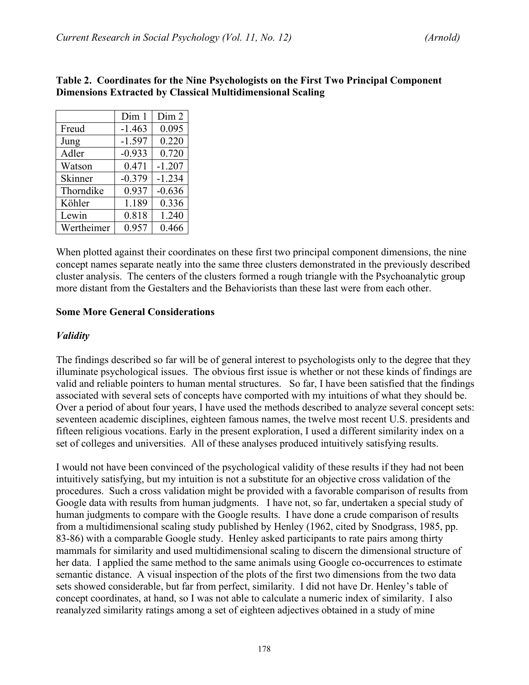|            | Dim <sub>1</sub> | Dim 2    |
|------------|------------------|----------|
| Freud      | $-1.463$         | 0.095    |
| Jung       | $-1.597$         | 0.220    |
| Adler      | $-0.933$         | 0.720    |
| Watson     | 0.471            | $-1.207$ |
| Skinner    | $-0.379$         | $-1.234$ |
| Thorndike  | 0.937            | $-0.636$ |
| Köhler     | 1.189            | 0.336    |
| Lewin      | 0.818            | 1.240    |
| Wertheimer | 0.957            | 0.466    |

#### **Table 2. Coordinates for the Nine Psychologists on the First Two Principal Component Dimensions Extracted by Classical Multidimensional Scaling**

When plotted against their coordinates on these first two principal component dimensions, the nine concept names separate neatly into the same three clusters demonstrated in the previously described cluster analysis. The centers of the clusters formed a rough triangle with the Psychoanalytic group more distant from the Gestalters and the Behaviorists than these last were from each other.

#### **Some More General Considerations**

#### *Validity*

The findings described so far will be of general interest to psychologists only to the degree that they illuminate psychological issues. The obvious first issue is whether or not these kinds of findings are valid and reliable pointers to human mental structures. So far, I have been satisfied that the findings associated with several sets of concepts have comported with my intuitions of what they should be. Over a period of about four years, I have used the methods described to analyze several concept sets: seventeen academic disciplines, eighteen famous names, the twelve most recent U.S. presidents and fifteen religious vocations. Early in the present exploration, I used a different similarity index on a set of colleges and universities. All of these analyses produced intuitively satisfying results.

I would not have been convinced of the psychological validity of these results if they had not been intuitively satisfying, but my intuition is not a substitute for an objective cross validation of the procedures. Such a cross validation might be provided with a favorable comparison of results from Google data with results from human judgments. I have not, so far, undertaken a special study of human judgments to compare with the Google results. I have done a crude comparison of results from a multidimensional scaling study published by Henley (1962, cited by Snodgrass, 1985, pp. 83-86) with a comparable Google study. Henley asked participants to rate pairs among thirty mammals for similarity and used multidimensional scaling to discern the dimensional structure of her data. I applied the same method to the same animals using Google co-occurrences to estimate semantic distance. A visual inspection of the plots of the first two dimensions from the two data sets showed considerable, but far from perfect, similarity. I did not have Dr. Henley's table of concept coordinates, at hand, so I was not able to calculate a numeric index of similarity. I also reanalyzed similarity ratings among a set of eighteen adjectives obtained in a study of mine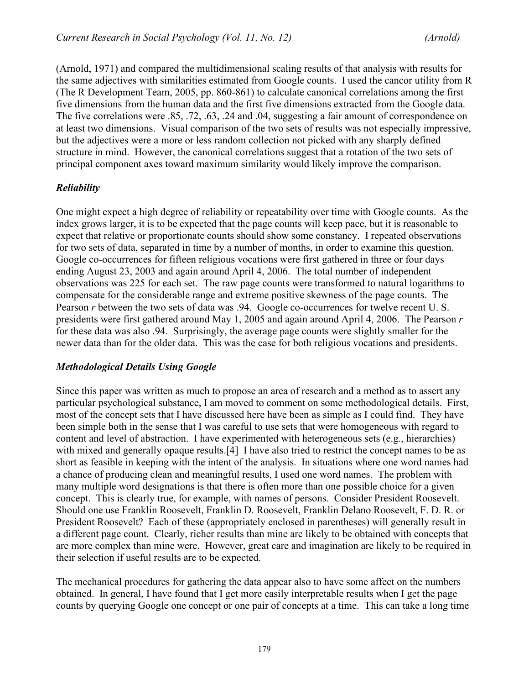(Arnold, 1971) and compared the multidimensional scaling results of that analysis with results for the same adjectives with similarities estimated from Google counts. I used the cancor utility from R (The R Development Team, 2005, pp. 860-861) to calculate canonical correlations among the first five dimensions from the human data and the first five dimensions extracted from the Google data. The five correlations were .85, .72, .63, .24 and .04, suggesting a fair amount of correspondence on at least two dimensions. Visual comparison of the two sets of results was not especially impressive, but the adjectives were a more or less random collection not picked with any sharply defined structure in mind. However, the canonical correlations suggest that a rotation of the two sets of principal component axes toward maximum similarity would likely improve the comparison.

## *Reliability*

One might expect a high degree of reliability or repeatability over time with Google counts. As the index grows larger, it is to be expected that the page counts will keep pace, but it is reasonable to expect that relative or proportionate counts should show some constancy. I repeated observations for two sets of data, separated in time by a number of months, in order to examine this question. Google co-occurrences for fifteen religious vocations were first gathered in three or four days ending August 23, 2003 and again around April 4, 2006. The total number of independent observations was 225 for each set. The raw page counts were transformed to natural logarithms to compensate for the considerable range and extreme positive skewness of the page counts. The Pearson *r* between the two sets of data was .94. Google co-occurrences for twelve recent U.S. presidents were first gathered around May 1, 2005 and again around April 4, 2006. The Pearson *r* for these data was also .94. Surprisingly, the average page counts were slightly smaller for the newer data than for the older data. This was the case for both religious vocations and presidents.

#### *Methodological Details Using Google*

Since this paper was written as much to propose an area of research and a method as to assert any particular psychological substance, I am moved to comment on some methodological details. First, most of the concept sets that I have discussed here have been as simple as I could find. They have been simple both in the sense that I was careful to use sets that were homogeneous with regard to content and level of abstraction. I have experimented with heterogeneous sets (e.g., hierarchies) with mixed and generally opaque results.[4] I have also tried to restrict the concept names to be as short as feasible in keeping with the intent of the analysis. In situations where one word names had a chance of producing clean and meaningful results, I used one word names. The problem with many multiple word designations is that there is often more than one possible choice for a given concept. This is clearly true, for example, with names of persons. Consider President Roosevelt. Should one use Franklin Roosevelt, Franklin D. Roosevelt, Franklin Delano Roosevelt, F. D. R. or President Roosevelt? Each of these (appropriately enclosed in parentheses) will generally result in a different page count. Clearly, richer results than mine are likely to be obtained with concepts that are more complex than mine were. However, great care and imagination are likely to be required in their selection if useful results are to be expected.

The mechanical procedures for gathering the data appear also to have some affect on the numbers obtained. In general, I have found that I get more easily interpretable results when I get the page counts by querying Google one concept or one pair of concepts at a time. This can take a long time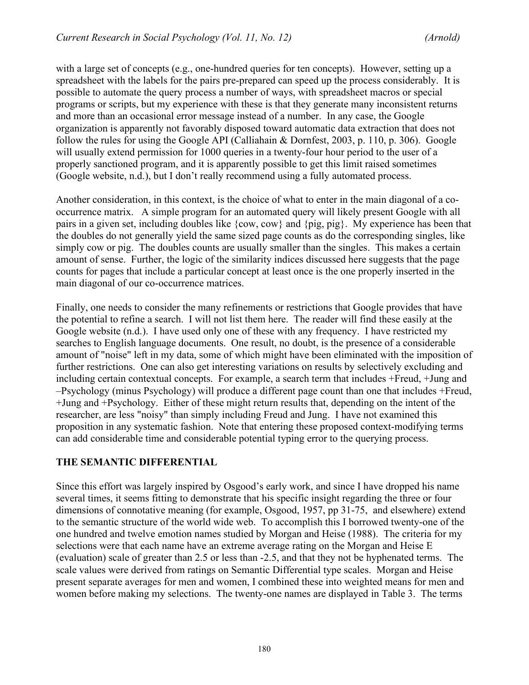with a large set of concepts (e.g., one-hundred queries for ten concepts). However, setting up a spreadsheet with the labels for the pairs pre-prepared can speed up the process considerably. It is possible to automate the query process a number of ways, with spreadsheet macros or special programs or scripts, but my experience with these is that they generate many inconsistent returns and more than an occasional error message instead of a number. In any case, the Google organization is apparently not favorably disposed toward automatic data extraction that does not follow the rules for using the Google API (Calliahain & Dornfest, 2003, p. 110, p. 306). Google will usually extend permission for 1000 queries in a twenty-four hour period to the user of a properly sanctioned program, and it is apparently possible to get this limit raised sometimes (Google website, n.d.), but I don't really recommend using a fully automated process.

Another consideration, in this context, is the choice of what to enter in the main diagonal of a cooccurrence matrix. A simple program for an automated query will likely present Google with all pairs in a given set, including doubles like {cow, cow} and {pig, pig}. My experience has been that the doubles do not generally yield the same sized page counts as do the corresponding singles, like simply cow or pig. The doubles counts are usually smaller than the singles. This makes a certain amount of sense. Further, the logic of the similarity indices discussed here suggests that the page counts for pages that include a particular concept at least once is the one properly inserted in the main diagonal of our co-occurrence matrices.

Finally, one needs to consider the many refinements or restrictions that Google provides that have the potential to refine a search. I will not list them here. The reader will find these easily at the Google website (n.d.). I have used only one of these with any frequency. I have restricted my searches to English language documents. One result, no doubt, is the presence of a considerable amount of "noise" left in my data, some of which might have been eliminated with the imposition of further restrictions. One can also get interesting variations on results by selectively excluding and including certain contextual concepts. For example, a search term that includes +Freud, +Jung and –Psychology (minus Psychology) will produce a different page count than one that includes +Freud, +Jung and +Psychology. Either of these might return results that, depending on the intent of the researcher, are less "noisy" than simply including Freud and Jung. I have not examined this proposition in any systematic fashion. Note that entering these proposed context-modifying terms can add considerable time and considerable potential typing error to the querying process.

#### **THE SEMANTIC DIFFERENTIAL**

Since this effort was largely inspired by Osgood's early work, and since I have dropped his name several times, it seems fitting to demonstrate that his specific insight regarding the three or four dimensions of connotative meaning (for example, Osgood, 1957, pp 31-75, and elsewhere) extend to the semantic structure of the world wide web. To accomplish this I borrowed twenty-one of the one hundred and twelve emotion names studied by Morgan and Heise (1988). The criteria for my selections were that each name have an extreme average rating on the Morgan and Heise E (evaluation) scale of greater than 2.5 or less than -2.5, and that they not be hyphenated terms. The scale values were derived from ratings on Semantic Differential type scales. Morgan and Heise present separate averages for men and women, I combined these into weighted means for men and women before making my selections. The twenty-one names are displayed in Table 3. The terms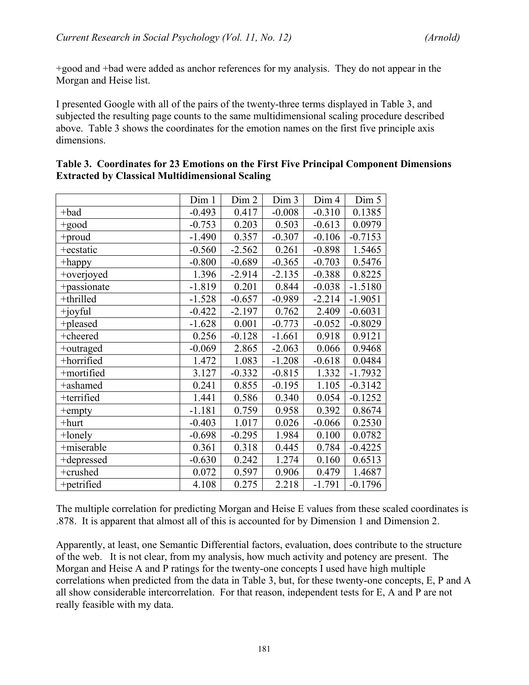+good and +bad were added as anchor references for my analysis. They do not appear in the Morgan and Heise list.

I presented Google with all of the pairs of the twenty-three terms displayed in Table 3, and subjected the resulting page counts to the same multidimensional scaling procedure described above. Table 3 shows the coordinates for the emotion names on the first five principle axis dimensions.

|             | Dim 1    | Dim 2    | Dim 3    | Dim 4    | Dim 5     |
|-------------|----------|----------|----------|----------|-----------|
| +bad        | $-0.493$ | 0.417    | $-0.008$ | $-0.310$ | 0.1385    |
| +good       | $-0.753$ | 0.203    | 0.503    | $-0.613$ | 0.0979    |
| +proud      | $-1.490$ | 0.357    | $-0.307$ | $-0.106$ | $-0.7153$ |
| +ecstatic   | $-0.560$ | $-2.562$ | 0.261    | $-0.898$ | 1.5465    |
| +happy      | $-0.800$ | $-0.689$ | $-0.365$ | $-0.703$ | 0.5476    |
| +overjoyed  | 1.396    | $-2.914$ | $-2.135$ | $-0.388$ | 0.8225    |
| +passionate | $-1.819$ | 0.201    | 0.844    | $-0.038$ | $-1.5180$ |
| +thrilled   | $-1.528$ | $-0.657$ | $-0.989$ | $-2.214$ | $-1.9051$ |
| +joyful     | $-0.422$ | $-2.197$ | 0.762    | 2.409    | $-0.6031$ |
| +pleased    | $-1.628$ | 0.001    | $-0.773$ | $-0.052$ | $-0.8029$ |
| +cheered    | 0.256    | $-0.128$ | $-1.661$ | 0.918    | 0.9121    |
| +outraged   | $-0.069$ | 2.865    | $-2.063$ | 0.066    | 0.9468    |
| +horrified  | 1.472    | 1.083    | $-1.208$ | $-0.618$ | 0.0484    |
| +mortified  | 3.127    | $-0.332$ | $-0.815$ | 1.332    | $-1.7932$ |
| +ashamed    | 0.241    | 0.855    | $-0.195$ | 1.105    | $-0.3142$ |
| +terrified  | 1.441    | 0.586    | 0.340    | 0.054    | $-0.1252$ |
| +empty      | $-1.181$ | 0.759    | 0.958    | 0.392    | 0.8674    |
| $+$ hurt    | $-0.403$ | 1.017    | 0.026    | $-0.066$ | 0.2530    |
| $+$ lonely  | $-0.698$ | $-0.295$ | 1.984    | 0.100    | 0.0782    |
| +miserable  | 0.361    | 0.318    | 0.445    | 0.784    | $-0.4225$ |
| +depressed  | $-0.630$ | 0.242    | 1.274    | 0.160    | 0.6513    |
| +crushed    | 0.072    | 0.597    | 0.906    | 0.479    | 1.4687    |
| +petrified  | 4.108    | 0.275    | 2.218    | $-1.791$ | $-0.1796$ |

|                                                        | Table 3. Coordinates for 23 Emotions on the First Five Principal Component Dimensions |
|--------------------------------------------------------|---------------------------------------------------------------------------------------|
| <b>Extracted by Classical Multidimensional Scaling</b> |                                                                                       |

The multiple correlation for predicting Morgan and Heise E values from these scaled coordinates is .878. It is apparent that almost all of this is accounted for by Dimension 1 and Dimension 2.

Apparently, at least, one Semantic Differential factors, evaluation, does contribute to the structure of the web. It is not clear, from my analysis, how much activity and potency are present. The Morgan and Heise A and P ratings for the twenty-one concepts I used have high multiple correlations when predicted from the data in Table 3, but, for these twenty-one concepts, E, P and A all show considerable intercorrelation. For that reason, independent tests for E, A and P are not really feasible with my data.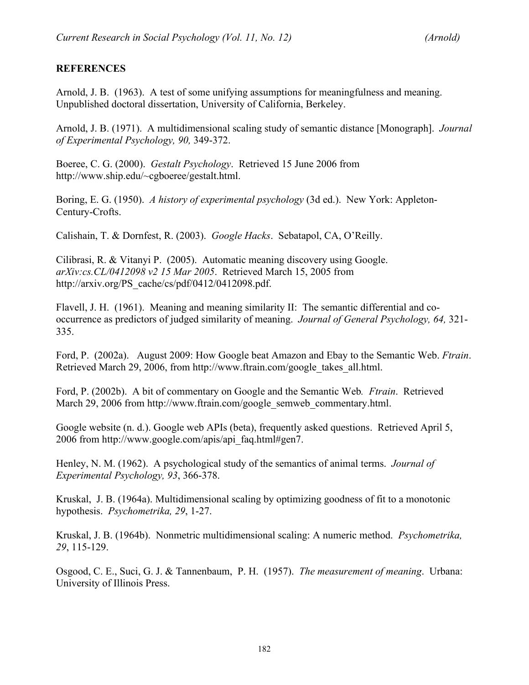## **REFERENCES**

Arnold, J. B. (1963). A test of some unifying assumptions for meaningfulness and meaning. Unpublished doctoral dissertation, University of California, Berkeley.

Arnold, J. B. (1971). A multidimensional scaling study of semantic distance [Monograph]. *Journal of Experimental Psychology, 90,* 349-372.

Boeree, C. G. (2000). *Gestalt Psychology*. Retrieved 15 June 2006 from http://www.ship.edu/~cgboeree/gestalt.html.

Boring, E. G. (1950). *A history of experimental psychology* (3d ed.). New York: Appleton-Century-Crofts.

Calishain, T. & Dornfest, R. (2003). *Google Hacks*. Sebatapol, CA, O'Reilly.

Cilibrasi, R. & Vitanyi P. (2005). Automatic meaning discovery using Google. *arXiv:cs.CL/0412098 v2 15 Mar 2005*. Retrieved March 15, 2005 from http://arxiv.org/PS\_cache/cs/pdf/0412/0412098.pdf.

Flavell, J. H. (1961). Meaning and meaning similarity II: The semantic differential and cooccurrence as predictors of judged similarity of meaning. *Journal of General Psychology, 64,* 321- 335.

Ford, P. (2002a). August 2009: How Google beat Amazon and Ebay to the Semantic Web. *Ftrain*. Retrieved March 29, 2006, from http://www.ftrain.com/google\_takes\_all.html.

Ford, P. (2002b). A bit of commentary on Google and the Semantic Web*. Ftrain*. Retrieved March 29, 2006 from http://www.ftrain.com/google\_semweb\_commentary.html.

Google website (n. d.). Google web APIs (beta), frequently asked questions. Retrieved April 5, 2006 from http://www.google.com/apis/api\_faq.html#gen7.

Henley, N. M. (1962). A psychological study of the semantics of animal terms. *Journal of Experimental Psychology, 93*, 366-378.

Kruskal, J. B. (1964a). Multidimensional scaling by optimizing goodness of fit to a monotonic hypothesis. *Psychometrika, 29*, 1-27.

Kruskal, J. B. (1964b). Nonmetric multidimensional scaling: A numeric method. *Psychometrika, 29*, 115-129.

Osgood, C. E., Suci, G. J. & Tannenbaum, P. H. (1957). *The measurement of meaning*. Urbana: University of Illinois Press.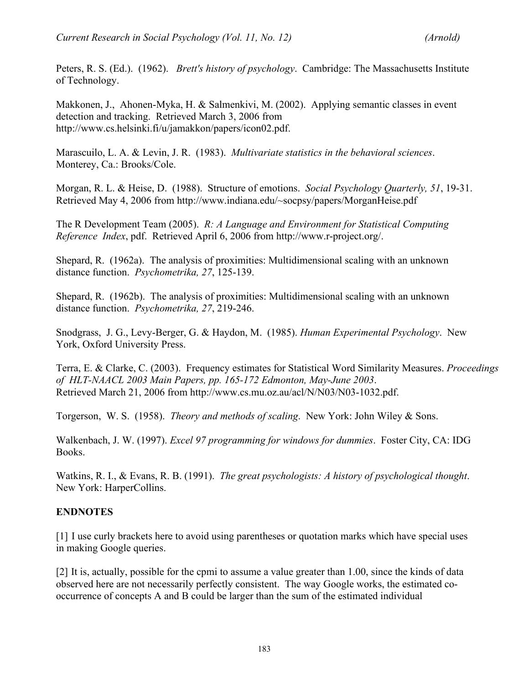Peters, R. S. (Ed.). (1962). *Brett's history of psychology*. Cambridge: The Massachusetts Institute of Technology.

Makkonen, J., Ahonen-Myka, H. & Salmenkivi, M. (2002). Applying semantic classes in event detection and tracking. Retrieved March 3, 2006 from http://www.cs.helsinki.fi/u/jamakkon/papers/icon02.pdf.

Marascuilo, L. A. & Levin, J. R. (1983). *Multivariate statistics in the behavioral sciences*. Monterey, Ca.: Brooks/Cole.

Morgan, R. L. & Heise, D. (1988). Structure of emotions. *Social Psychology Quarterly, 51*, 19-31. Retrieved May 4, 2006 from http://www.indiana.edu/~socpsy/papers/MorganHeise.pdf

The R Development Team (2005). *R: A Language and Environment for Statistical Computing Reference Index*, pdf. Retrieved April 6, 2006 from http://www.r-project.org/.

Shepard, R. (1962a). The analysis of proximities: Multidimensional scaling with an unknown distance function. *Psychometrika, 27*, 125-139.

Shepard, R. (1962b). The analysis of proximities: Multidimensional scaling with an unknown distance function. *Psychometrika, 27*, 219-246.

Snodgrass, J. G., Levy-Berger, G. & Haydon, M. (1985). *Human Experimental Psychology*. New York, Oxford University Press.

Terra, E. & Clarke, C. (2003). Frequency estimates for Statistical Word Similarity Measures. *Proceedings of HLT-NAACL 2003 Main Papers, pp. 165-172 Edmonton, May-June 2003*. Retrieved March 21, 2006 from http://www.cs.mu.oz.au/acl/N/N03/N03-1032.pdf.

Torgerson, W. S. (1958). *Theory and methods of scaling*. New York: John Wiley & Sons.

Walkenbach, J. W. (1997). *Excel 97 programming for windows for dummies*. Foster City, CA: IDG Books.

Watkins, R. I., & Evans, R. B. (1991). *The great psychologists: A history of psychological thought*. New York: HarperCollins.

## **ENDNOTES**

[1] I use curly brackets here to avoid using parentheses or quotation marks which have special uses in making Google queries.

[2] It is, actually, possible for the cpmi to assume a value greater than 1.00, since the kinds of data observed here are not necessarily perfectly consistent. The way Google works, the estimated cooccurrence of concepts A and B could be larger than the sum of the estimated individual